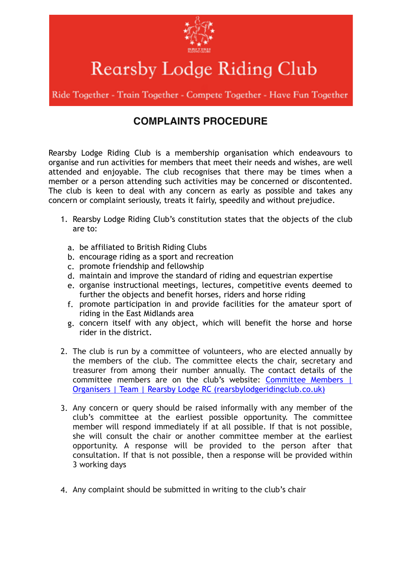

Rearsby Lodge Riding Club

Ride Together - Train Together - Compete Together - Have Fun Together

## **COMPLAINTS PROCEDURE**

Rearsby Lodge Riding Club is a membership organisation which endeavours to organise and run activities for members that meet their needs and wishes, are well attended and enjoyable. The club recognises that there may be times when a member or a person attending such activities may be concerned or discontented. The club is keen to deal with any concern as early as possible and takes any concern or complaint seriously, treats it fairly, speedily and without prejudice.

- 1. Rearsby Lodge Riding Club's constitution states that the objects of the club are to:
	- a. be affiliated to British Riding Clubs
	- b. encourage riding as a sport and recreation
	- c. promote friendship and fellowship
	- d. maintain and improve the standard of riding and equestrian expertise
	- e. organise instructional meetings, lectures, competitive events deemed to further the objects and benefit horses, riders and horse riding
	- f. promote participation in and provide facilities for the amateur sport of riding in the East Midlands area
	- g. concern itself with any object, which will benefit the horse and horse rider in the district.
- 2. The club is run by a committee of volunteers, who are elected annually by the members of the club. The committee elects the chair, secretary and treasurer from among their number annually. The contact details of the [committee members are on the club's website: Committee Members |](https://www.rearsbylodgeridingclub.co.uk/committee.html)  Organisers | Team | Rearsby Lodge RC (rearsbylodgeridingclub.co.uk)
- 3. Any concern or query should be raised informally with any member of the club's committee at the earliest possible opportunity. The committee member will respond immediately if at all possible. If that is not possible, she will consult the chair or another committee member at the earliest opportunity. A response will be provided to the person after that consultation. If that is not possible, then a response will be provided within 3 working days
- 4. Any complaint should be submitted in writing to the club's chair